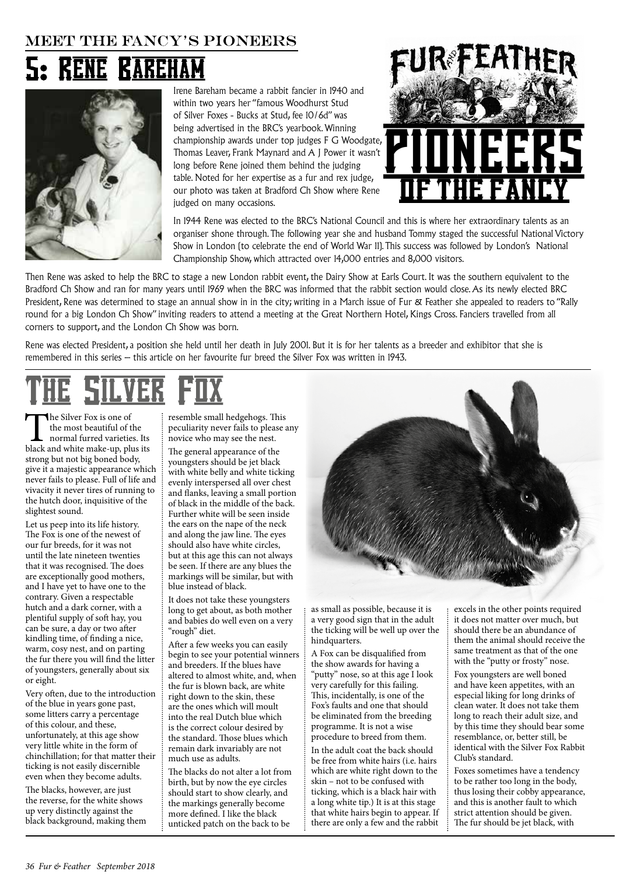## **MEET THE FANCY'S PIONEERS**

## 5: RENE BAREHAM



Irene Bareham became a rabbit fancier in 1940 and within two years her "famous Woodhurst Stud of Silver Foxes - Bucks at Stud, fee 10/6d" was being advertised in the BRC's yearbook. Winning championship awards under top judges F G Woodgate, Thomas Leaver, Frank Maynard and A J Power it wasn't long before Rene joined them behind the judging table. Noted for her expertise as a fur and rex judge, our photo was taken at Bradford Ch Show where Rene judged on many occasions.





In 1944 Rene was elected to the BRC's National Council and this is where her extraordinary talents as an organiser shone through. The following year she and husband Tommy staged the successful National Victory Show in London (to celebrate the end of World War 11). This success was followed by London's National Championship Show, which attracted over 14,000 entries and 8,000 visitors.

Then Rene was asked to help the BRC to stage a new London rabbit event, the Dairy Show at Earls Court. It was the southern equivalent to the Bradford Ch Show and ran for many years until 1969 when the BRC was informed that the rabbit section would close. As its newly elected BRC President, Rene was determined to stage an annual show in in the city; writing in a March issue of Fur & Feather she appealed to readers to "Rally round for a big London Ch Show" inviting readers to attend a meeting at the Great Northern Hotel, Kings Cross. Fanciers travelled from all corners to support, and the London Ch Show was born.

Rene was elected President, a position she held until her death in July 2001. But it is for her talents as a breeder and exhibitor that she is remembered in this series – this article on her favourite fur breed the Silver Fox was written in 1943.

The Silver Fox is one of<br>the most beautiful of the<br>normal furred varieties. Its<br>black and white make-up, plus its the most beautiful of the normal furred varieties. Its strong but not big boned body, give it a majestic appearance which never fails to please. Full of life and vivacity it never tires of running to the hutch door, inquisitive of the slightest sound.

Let us peep into its life history. The Fox is one of the newest of our fur breeds, for it was not until the late nineteen twenties that it was recognised. The does are exceptionally good mothers, and I have yet to have one to the contrary. Given a respectable hutch and a dark corner, with a plentiful supply of soft hay, you can be sure, a day or two after kindling time, of finding a nice, warm, cosy nest, and on parting the fur there you will find the litter of youngsters, generally about six or eight.

Very often, due to the introduction of the blue in years gone past, some litters carry a percentage of this colour, and these, unfortunately, at this age show very little white in the form of chinchillation; for that matter their ticking is not easily discernible even when they become adults.

The blacks, however, are just the reverse, for the white shows up very distinctly against the black background, making them resemble small hedgehogs. This peculiarity never fails to please any novice who may see the nest.

The general appearance of the youngsters should be jet black with white belly and white ticking evenly interspersed all over chest and flanks, leaving a small portion of black in the middle of the back. Further white will be seen inside the ears on the nape of the neck and along the jaw line. The eyes should also have white circles, but at this age this can not always be seen. If there are any blues the markings will be similar, but with blue instead of black.

It does not take these youngsters long to get about, as both mother and babies do well even on a very "rough" diet.

After a few weeks you can easily begin to see your potential winners and breeders. If the blues have altered to almost white, and, when the fur is blown back, are white right down to the skin, these are the ones which will moult into the real Dutch blue which is the correct colour desired by the standard. Those blues which remain dark invariably are not much use as adults.

The blacks do not alter a lot from birth, but by now the eye circles should start to show clearly, and the markings generally become more defined. I like the black unticked patch on the back to be

as small as possible, because it is a very good sign that in the adult the ticking will be well up over the hindquarters.

A Fox can be disqualified from the show awards for having a "putty" nose, so at this age I look very carefully for this failing. This, incidentally, is one of the Fox's faults and one that should be eliminated from the breeding programme. It is not a wise procedure to breed from them.

In the adult coat the back should be free from white hairs (i.e. hairs which are white right down to the skin – not to be confused with ticking, which is a black hair with a long white tip.) It is at this stage that white hairs begin to appear. If there are only a few and the rabbit excels in the other points required it does not matter over much, but should there be an abundance of them the animal should receive the same treatment as that of the one with the "putty or frosty" nose.

Fox youngsters are well boned and have keen appetites, with an especial liking for long drinks of clean water. It does not take them long to reach their adult size, and by this time they should bear some resemblance, or, better still, be identical with the Silver Fox Rabbit Club's standard.

Foxes sometimes have a tendency to be rather too long in the body, thus losing their cobby appearance, and this is another fault to which strict attention should be given. The fur should be jet black, with